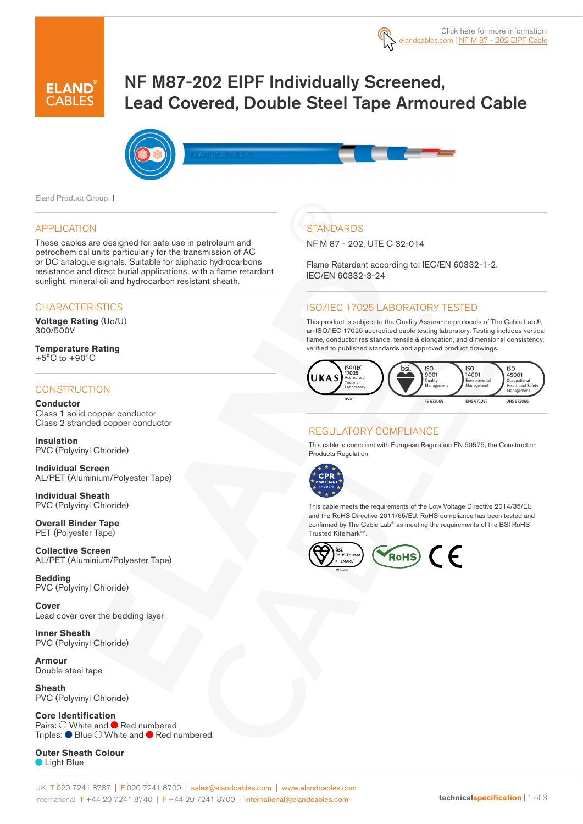

# NF M87-202 EIPF Individually Screened, Lead Covered, Double Steel Tape Armoured Cable



Eland Product Group: I

#### APPLICATION

These cables are designed for safe use in petroleum and petrochemical units particularly for the transmission of AC or DC analogue signals. Suitable for aliphatic hydrocarbons resistance and direct burial applications, with a flame retardant sunlight, mineral oil and hydrocarbon resistant sheath.

### **CHARACTERISTICS**

**Voltage Rating** (Uo/U) 300/500V

**Temperature Rating** +5°C to +90ºC

#### **CONSTRUCTION**

#### **Conductor**

Class 1 solid copper conductor Class 2 stranded copper conductor

**Insulation** PVC (Polyvinyl Chloride)

**Individual Screen** AL/PET (Aluminium/Polyester Tape)

**Individual Sheath** PVC (Polyvinyl Chloride)

**Overall Binder Tape** PET (Polyester Tape)

**Collective Screen** AL/PET (Aluminium/Polyester Tape)

**Bedding** PVC (Polyvinyl Chloride)

**Cover** Lead cover over the bedding layer

**Inner Sheath** PVC (Polyvinyl Chloride)

**Armour** Double steel tape

**Sheath** PVC (Polyvinyl Chloride)

**Core Identification** Pairs:  $\bigcirc$  White and  $\bigcirc$  Red numbered Triples:  $\bullet$  Blue  $\circlearrowright$  White and  $\bullet$  Red numbered

**Outer Sheath Colour Light Blue** 

# **STANDARDS**

NF M 87 - 202, UTE C 32-014

Flame Retardant according to: IEC/EN 60332-1-2, IEC/EN 60332-3-24

## ISO/IEC 17025 LABORATORY TESTED

This product is subject to the Quality Assurance protocols of The Cable Lab®, an ISO/IEC 17025 accredited cable testing laboratory. Testing includes vertical flame, conductor resistance, tensile & elongation, and dimensional consistency, verified to published standards and approved product drawings.



## REGULATORY COMPLIANCE

This cable is compliant with European Regulation EN 50575, the Construction Products Regulation.



This cable meets the requirements of the Low Voltage Directive 2014/35/EU and the RoHS Directive 2011/65/EU. RoHS compliance has been tested and confirmed by The Cable Lab® as meeting the requirements of the BSI RoHS Trusted Kitemark™.

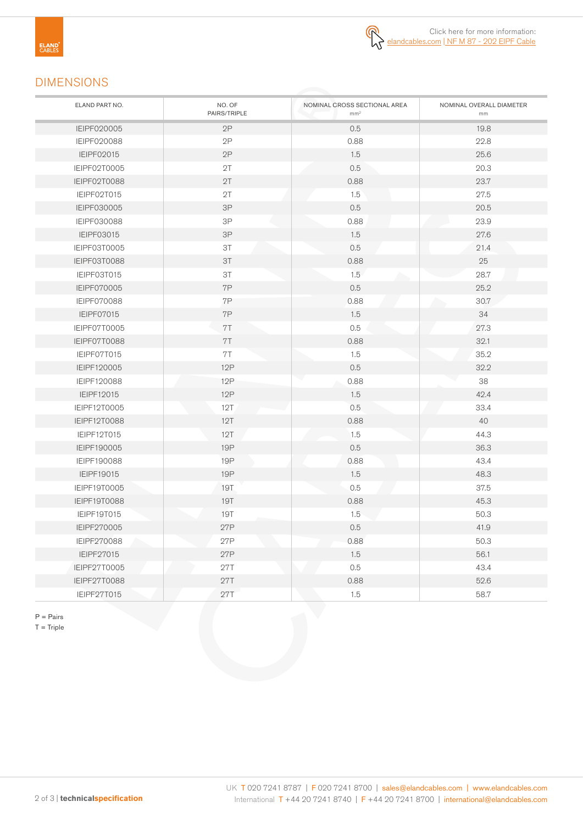

# DIMENSIONS

| ELAND PART NO.     | NO. OF<br>PAIRS/TRIPLE | NOMINAL CROSS SECTIONAL AREA<br>mm <sup>2</sup> | NOMINAL OVERALL DIAMETER<br>mm |
|--------------------|------------------------|-------------------------------------------------|--------------------------------|
| IEIPF020005        | 2P                     | 0.5                                             | 19.8                           |
| IEIPF020088        | 2P                     | 0.88                                            | 22.8                           |
| IEIPF02015         | 2P                     | 1.5                                             | 25.6                           |
| IEIPF02T0005       | 2T                     | 0.5                                             | 20.3                           |
| IEIPF02T0088       | 2T                     | 0.88                                            | 23.7                           |
| IEIPF02T015        | 2T                     | 1.5                                             | 27.5                           |
| IEIPF030005        | 3P                     | 0.5                                             | 20.5                           |
| <b>IEIPF030088</b> | 3P                     | 0.88                                            | 23.9                           |
| <b>IEIPF03015</b>  | 3P                     | 1.5                                             | 27.6                           |
| IEIPF03T0005       | 3T                     | 0.5                                             | 21.4                           |
| IEIPF03T0088       | 3T                     | 0.88                                            | 25                             |
| IEIPF03T015        | 3T                     | 1.5                                             | 28.7                           |
| <b>IEIPF070005</b> | 7P                     | 0.5                                             | 25.2                           |
| <b>IEIPF070088</b> | 7P                     | 0.88                                            | 30.7                           |
| IEIPF07015         | 7P                     | 1.5                                             | 34                             |
| IEIPF07T0005       | 7T                     | 0.5                                             | 27.3                           |
| IEIPF07T0088       | 7T                     | 0.88                                            | 32.1                           |
| IEIPF07T015        | 7T                     | 1.5                                             | 35.2                           |
| IEIPF120005        | <b>12P</b>             | 0.5                                             | 32.2                           |
| IEIPF120088        | 12P                    | 0.88                                            | 38                             |
| IEIPF12015         | 12P                    | 1.5                                             | 42.4                           |
| IEIPF12T0005       | 12T                    | 0.5                                             | 33.4                           |
| IEIPF12T0088       | 12T                    | 0.88                                            | 40                             |
| IEIPF12T015        | 12T                    | 1.5                                             | 44.3                           |
| IEIPF190005        | <b>19P</b>             | 0.5                                             | 36.3                           |
| IEIPF190088        | 19 <sub>P</sub>        | 0.88                                            | 43.4                           |
| IEIPF19015         | <b>19P</b>             | 1.5                                             | 48.3                           |
| IEIPF19T0005       | 19T                    | 0.5                                             | 37.5                           |
| IEIPF19T0088       | 19T                    | 0.88                                            | 45.3                           |
| IEIPF19T015        | <b>19T</b>             | 1.5                                             | 50.3                           |
| IEIPF270005        | 27P                    | 0.5                                             | 41.9                           |
| IEIPF270088        | 27P                    | 0.88                                            | 50.3                           |
| IEIPF27015         | 27P                    | 1.5                                             | 56.1                           |
| IEIPF27T0005       | 27T                    | 0.5                                             | 43.4                           |
| IEIPF27T0088       | 27T                    | 0.88                                            | 52.6                           |
| IEIPF27T015        | 27T                    | 1.5                                             | 58.7                           |

P = Pairs

 $T =$ Triple